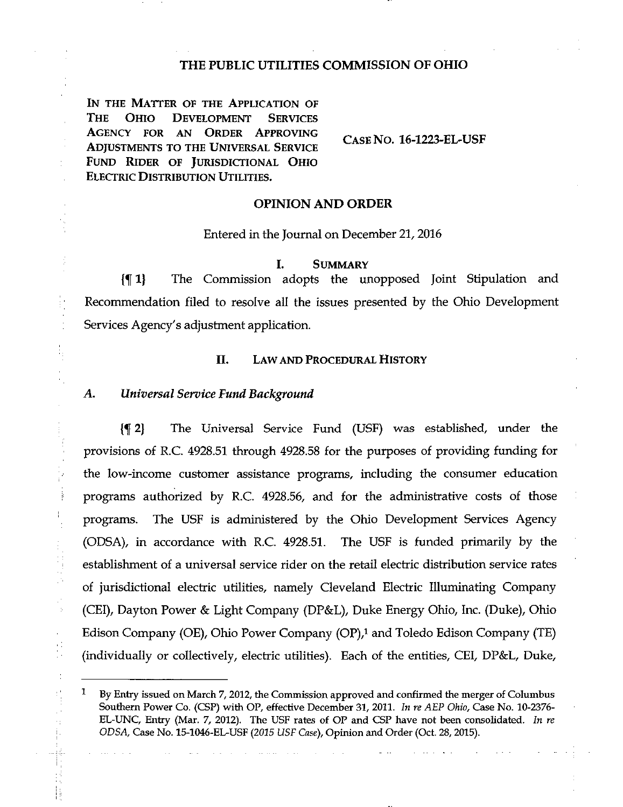## THE PUBLIC UTILITIES COMMISSION OF OHIO

IN THE MATTER OF THE APPLICATION OF THE OHIO DEVELOPMENT SERVICES AGENCY FOR AN ORDER APPROVING ADJUSTMENTS TO THE UNIVERSAL SERVICE FUND RIDER OF JURISDICTIONAL OHIO ELECTRIC DISTRIBUTION UTILITIES.

CASE No. 16-1223-EL-USF

### OPINION AND ORDER

Entered in the Journal on December 21,2016

#### I. SUMMARY

(If 1) The Commission adopts the unopposed Joint Stipulation and Recommendation filed to resolve all the issues presented by the Ohio Development Services Agency's adjustment application.

## II. LAW AND PROCEDURAL HISTORY

#### A. Universal Service Fund Background

 $\bar{z}$ 

 $\bar{\gamma}$ 

{^ 2} The Universal Service Fund (USF) was established, under the provisions of R.C. 4928.51 through 4928.58 for the purposes of providing funding for the low-income customer assistance programs, including the consumer education programs authorized by R.C. 4928.56, and for the administrative costs of those programs. The USF is administered by the Ohio Development Services Agency (ODSA), in accordance with R.C. 4928.51. The USF is funded primarily by the establishment of a universal service rider on the retail electric distribution service rates of jurisdictional electric utilities, namely Cleveland Electric Illuminating Company (CEl), Dayton Power & Light Company (DP&L), Duke Energy Ohio, Inc. (Duke), Ohio Edison Company (OE), Ohio Power Company (OP),<sup>1</sup> and Toledo Edison Company (TE) (individually or collectively, electric utilities). Each of the entities, CEI, DP&L, Duke,

 $1$  By Entry issued on March 7, 2012, the Commission approved and confirmed the merger of Columbus Southern Power Co. (CSP) with OP, effective December 31, 2011. In re AEP Ohio, Case No. 10-2376-EL-UNC, Entry (Mar. 7, 2012). The USF rates of OP and CSP have not been consolidated. In re ODSA, Case No. 15-1046-EL-USF (2015 USF Case), Opinion and Order (Oct. 28, 2015).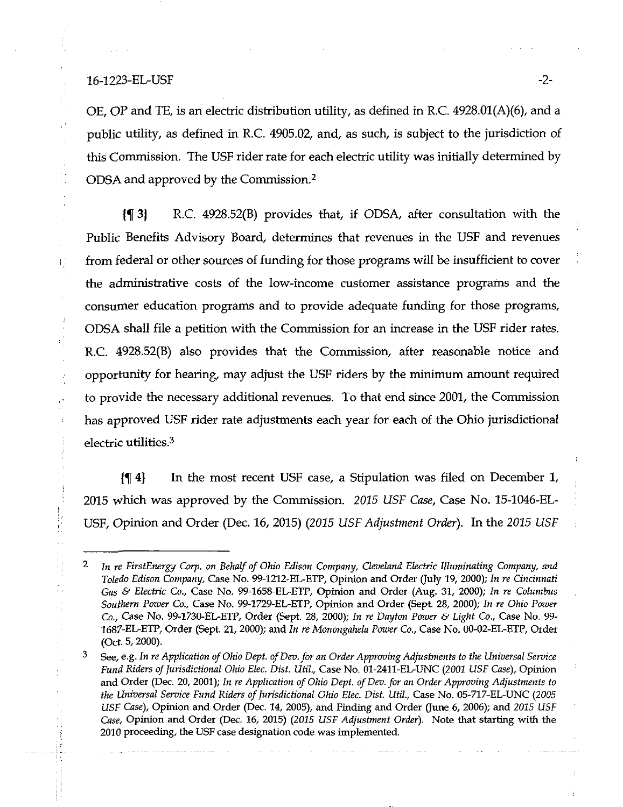## 16-1223-EL-USF -2-

Ę

 $\frac{3}{4}$ 

 $\pm$ ίś.

 $\frac{1}{1}$ ÷,

ř, l.<br>N OE, OP and TE, is an electric distribution utility, as defined in R.C. 4928.01(A)(6), and a public utility, as defined in R.C. 4905.02, and, as such, is subject to the jurisdiction of this Commission. The USF rider rate for each electric utility was initially determined by ODSA and approved by the Commission.<sup>2</sup>

(f 3) R.C. 4928.52(B) provides that, if ODSA, after consultation with the Public Benefits Advisory Board, determines that revenues in the USF and revenues from federal or other sources of funding for those programs will be insufficient to cover the administrative costs of the low-income customer assistance programs and the consumer education programs and to provide adequate funding for those programs, ODSA shall file a petition with the Commission for an increase in the USF rider rates. R.C. 4928.52(B) also provides that the Commission, after reasonable notice and opportunity for hearing, may adjust the USF riders by the minimum amount required to provide the necessary additional revenues. To that end since 2001, the Commission has approved USF rider rate adjustments each year for each of the Ohio jurisdictional electric utilities.<sup>3</sup>

 $\{\P 4\}$  In the most recent USF case, a Stipulation was filed on December 1, 2015 which was approved by the Commission. 2015 USF Case, Case No. 15-1046-EL-USF, Opinion and Order (Dec. 16, 2015) (2015 USF Adjustment Order). In the 2015 USF

<sup>2</sup> In re FirstEnergy Corp. on Behalf of Ohio Edison Company, Cleveland Electric Illuminating Company, and Toledo Edison Company, Case No. 99-1212-EL-ETP, Opinion and Order (July 19, 2000); In re Cincinnati Gas & Electric Co., Case No. 99-1658-EL-ETP, Opinion and Order (Aug. 31, 2000); In re Columbus Southern Power Co., Case No. 99-1729-EL-ETP, Opinion and Order (Sept. 28, 2000); In re Ohio Power Co., Case No. 99-1730-EL-ETP, Order (Sept. 28, 2000); In re Dayton Power & Light Co., Case No. 99- 1687-EL-ETP, Order (Sept. 21, 2000); and In re Monongahela Power Co., Case No. 00-02-EL-ETP, Order (Oct. 5,2000).

 $\mathbf{3}$ See, e.g. In re Application of Ohio Dept. of Dev. for an Order Approving Adjustments to the Universal Service Fund Riders of lurisdictional Ohio Elec. Dist. Util, Case No. 01-2411-EL-UNC {2001 USF Case), Opinion and Order (Dec. 20, 2001); In re Application of Ohio Dept. of Dev. for an Order Approving Adjustments to the Universal Service Fund Riders of Jurisdictional Ohio Elec. Dist. Util., Case No. 05-717-EL-UNC (2005 USF Case), Opinion and Order (Dec. 14, 2005), and Finding and Order (June 6, 2006); and 2015 USF Case, Opinion and Order (Dec. 16, 2015) {2015 USF Adjustment Order). Note that starting with the 2010 proceeding, the USF case designation code was implemented.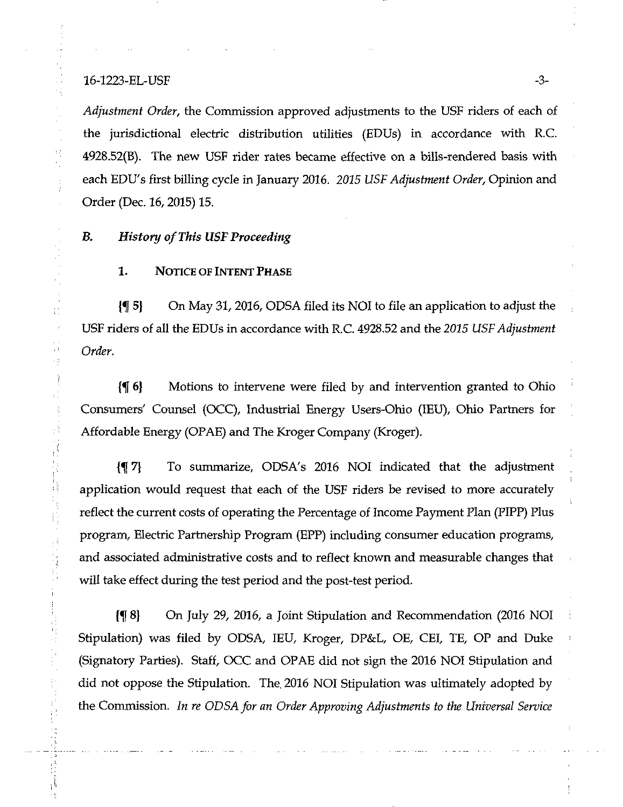## 16-1223-EL-USF -3-

 $\mathcal{C}_1$ 

 $\overline{\phantom{a}}$ 

ť.

 $\bar{\psi}$ Υğ

À

 $\mathbb{C}^3$ 

l,

Ë

Adjustment Order, the Commission approved adjustments to the USF riders of each of the jurisdictional electric distribution utilities (EDUs) in accordance with R.C. 4928.52(B). The new USF rider rates became effective on a bills-rendered basis with each EDU's first billing cycle in January 2016. 2015 USF Adjustment Order, Opinion and Order (Dec. 16,2015) 15.

# B. History of This USF Proceeding

# 1. NOTICE OF INTENT PHASE

 $\{\P\}$  On May 31, 2016, ODSA filed its NOI to file an application to adjust the USF riders of all the EDUs in accordance with R.C. 4928.52 and the 2015 USF Adjustment Order.

{% 6) Motions to intervene were filed by and intervention granted to Ohio Consumers' Counsel (OCC), Industrial Energy Users-Ohio (lEU), Ohio Partners for Affordable Energy (OPAE) and The Kroger Company (Kroger).

{f 7} To summarize, ODSA's 2016 NOI indicated that the adjustinent application would request that each of the USF riders be revised to more accurately reflect the current costs of operating the Percentage of Income Payment Plan (PIPP) Plus program. Electric Partnership Program (EPP) including consumer education programs, and associated administrative costs and to reflect known and measurable changes that will take effect during the test period and the post-test period.

{^8} On July 29, 2016, a Joint Stipulation and Recommendation (2016 NOI Stipulation) was filed by ODSA, lEU, Kroger, DP&L, OE, CEI, TE, OP and Duke (Signatory Parties). Staff, OCC and OPAE did not sign the 2016 NOI Stipulation and did not oppose the Stipulation. The. 2016 NOI Stipulation was ultimately adopted by the Commission. In re ODSA for an Order Approving Adjustments to the Universal Service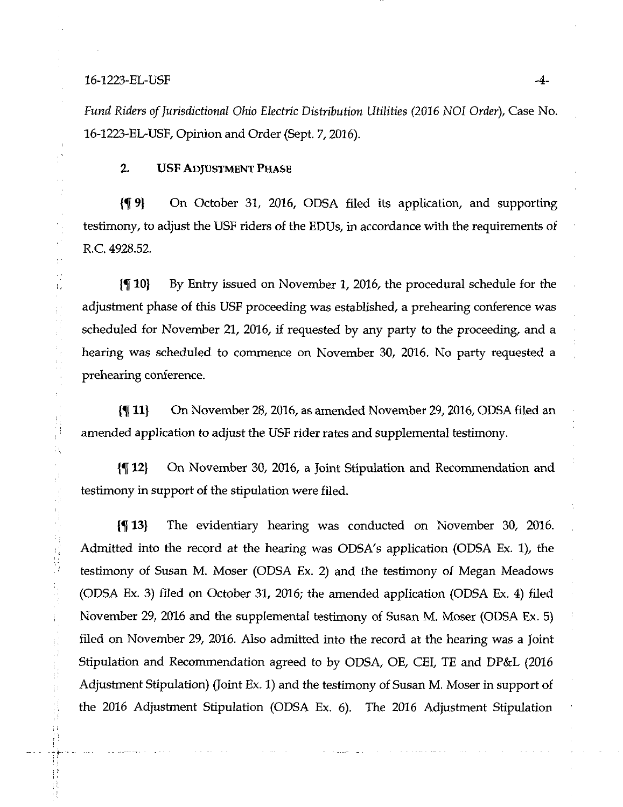### 16-1223-EL-USF -4-

 $\chi^2$  $\frac{1}{4}$  :  $\frac{1}{2}$  $\hat{\Gamma}_\mu$ 

的复数人名英格兰人姓氏法国家的变体

II.

Ň,

 $\frac{1}{2}$ 

 $\label{eq:3.1} \begin{array}{ll} \mathbf{H} & \mathbf{1} & \mathbf{1} & \mathbf{1} & \mathbf{1} \\ \mathbf{1} & \mathbf{1} & \mathbf{1} & \mathbf{1} & \mathbf{1} \\ \mathbf{1} & \mathbf{1} & \mathbf{1} & \mathbf{1} & \mathbf{1} \\ \mathbf{1} & \mathbf{1} & \mathbf{1} & \mathbf{1} & \mathbf{1} \\ \mathbf{1} & \mathbf{1} & \mathbf{1} & \mathbf{1} & \mathbf{1} \\ \mathbf{1} & \mathbf{1} & \mathbf{1} & \mathbf{1} & \$ 

 $\frac{1}{4}$  :

Fund Riders of Jurisdictional Ohio Electric Distribution Utilities (2016 NOI Order), Case No. 16-1223-EL-USF, Opinion and Order (Sept. 7,2016).

# 2. USF ADJUSTMENT PHASE

{^9} On October 31, 2016, ODSA filed its application, and supporting testimony, to adjust the USF riders of the EDUs, in accordance with the requirements of R.C. 4928.52.

 $\{\P 10\}$  By Entry issued on November 1, 2016, the procedural schedule for the adjustment phase of this USF proceeding was established, a prehearing conference was scheduled for November 21, 2016, if requested by any party to the proceeding, and a hearing was scheduled to commence on November 30, 2016. No party requested a prehearing conference.

{^ 11) On November 28,2016, as amended November 29,2016, ODSA filed an amended application to adjust the USF rider rates and supplemental testimony.

{% 12) On November 30, 2016, a Joint Stipulation and Recommendation and testimony in support of the stipulation were filed.

(^ 13) The evidentiary hearing was conducted on November 30, 2016. Admitted into the record at the hearing was ODSA's application (ODSA Ex. 1), the testimony of Susan M. Moser (ODSA Ex. 2) and the testimony of Megan Meadows (ODSA Ex. 3) tiled on October 31, 2016; the amended application (ODSA Ex. 4) tiled November 29, 2016 and the supplemental testimony of Susan M. Moser (ODSA Ex. 5) tiled on November 29, 2016. Also admitted into the record at the hearing was a Joint Stipulation and Recommendation agreed to by ODSA, OE, CEI, TE and DP&L (2016 Adjustment Stipulation) (Joint Ex. 1) and the testimony of Susan M. Moser in support of the 2016 Adjustment Stipulation (ODSA Ex. 6). The 2016 Adjustment Stipulation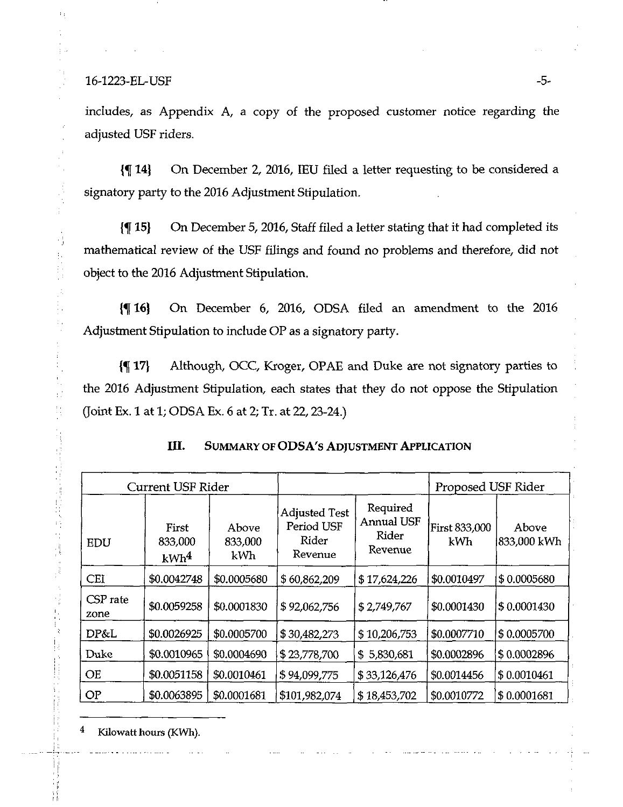$16-1223$ -EL-USF  $-5-$ 

H, ţ. f.

 $\frac{1}{2}$ 

おおし しゅうしゅう しゅうしゅう しゅうしゅう しゅうしょう しゅうしゅう しゅうしょう しゅうしょう

includes, as Appendix A, a copy of the proposed customer notice regarding the adjusted USF riders.

{\]\le 14} On December 2, 2016, IEU filed a letter requesting to be considered a signatory party to the 2016 Adjustment Stipulation.

{% 15} On December 5, 2016, Staff filed a letter stating that it had completed its mathematical review of the USF filings and found no problems and therefore, did not object to the 2016 Adjustment Stipulation.

{^16} On December 6, 2016, ODSA filed an amendment to the 2016 Adjustment Stipulation to include OP as a signatory party.

1% 17) Although, OCC, Kroger, OPAE and Duke are not signatory parties to the 2016 Adjustment Stipulation, each states that they do not oppose the Stipulation (Joint Ex. 1 at 1; ODSA Ex. 6 at 2; Tr. at 22,23-24.)

| <b>Current USF Rider</b> |                                      |                         |                                                        |                                                          | Proposed USF Rider          |                       |
|--------------------------|--------------------------------------|-------------------------|--------------------------------------------------------|----------------------------------------------------------|-----------------------------|-----------------------|
| EDU                      | First<br>833,000<br>kWh <sup>4</sup> | Above<br>833,000<br>kWh | <b>Adjusted Test</b><br>Period USF<br>Rider<br>Revenue | Required<br><b>Annual USF</b><br><b>Rider</b><br>Revenue | <b>First 833,000</b><br>kWh | Above<br> 833,000 kWh |
| CEI                      | \$0.0042748                          | \$0.0005680             | \$60,862,209                                           | \$17,624,226                                             | \$0.0010497                 | \$0.0005680           |
| CSP rate<br>zone         | \$0.0059258                          | \$0.0001830             | \$92,062,756                                           | \$2,749,767                                              | \$0.0001430                 | \$0.0001430           |
| DP&L                     | \$0.0026925                          | \$0.0005700             | \$30,482,273                                           | \$10,206,753                                             | \$0.0007710                 | \$0.0005700           |
| Duke                     | \$0.0010965                          | \$0.0004690             | \$23,778,700                                           | 5,830,681<br>\$.                                         | \$0.0002896                 | \$0.0002896           |
| <b>OE</b>                | \$0.0051158                          | \$0.0010461             | \$94,099,775                                           | \$33,126,476                                             | \$0.0014456                 | \$0.0010461           |
| OP                       | \$0.0063895                          | \$0.0001681             | \$101,982,074                                          | \$18,453,702                                             | \$0.0010772                 | \$0.0001681           |

4 Kilowatt hours (KWh).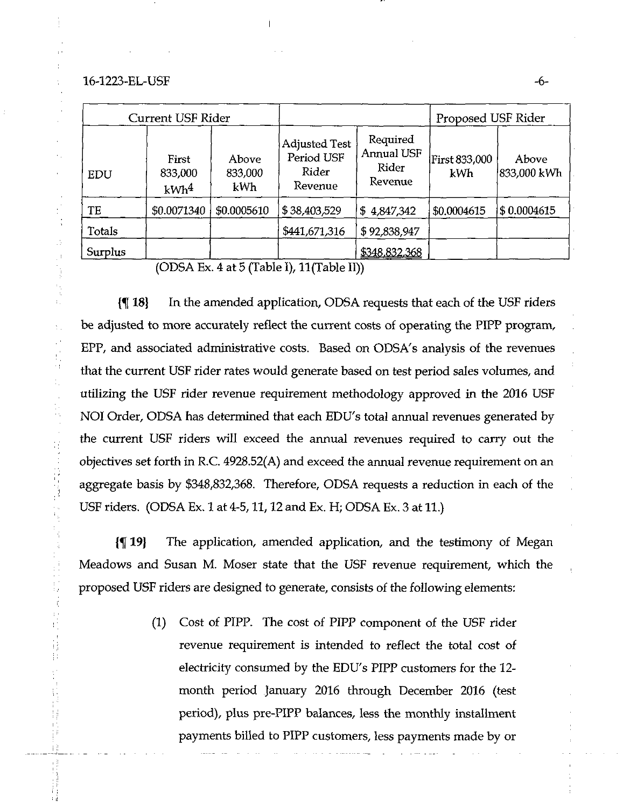### 16-1223-EL-USF -6-

 $\hat{\phi}$ 

 $\bar{t}$  .

 $\frac{1}{2}$  .

 $\frac{1}{2}$  .  $\frac{1}{2}$  $\frac{1}{2}$ 

| Current USF Rider                    |                                |                                                        |                                            |                             | Proposed USF Rider    |  |
|--------------------------------------|--------------------------------|--------------------------------------------------------|--------------------------------------------|-----------------------------|-----------------------|--|
| First<br>833,000<br>kWh <sup>4</sup> | <b>Above</b><br>833,000<br>kWh | <b>Adjusted Test</b><br>Period USF<br>Rider<br>Revenue | Required<br>Annual USF<br>Rider<br>Revenue | <b>First 833,000</b><br>kWh | Above<br> 833,000 kWh |  |
| \$0.0071340                          | \$0.0005610                    | \$38,403,529                                           | \$4,847,342                                | \$0.0004615                 | \$0.0004615           |  |
|                                      |                                | \$441,671,316                                          | \$92,838,947                               |                             |                       |  |
|                                      |                                |                                                        | \$348,832,368                              |                             |                       |  |
|                                      |                                |                                                        |                                            |                             |                       |  |

 $(ODSA Ex. 4 at 5 (Table I), 11 (Table II))$ 

{5[ 18} In the amended application, ODSA requests that each of the USF riders be adjusted to more accurately reflect the current costs of operating the PIPP program, EPP, and associated administrative costs. Based on ODSA's analysis of the revenues that the current USF rider rates would generate based on test period sales volumes, and utilizing the USF rider revenue requirement methodology approved in the 2016 USF NOI Order, ODSA has determined that each EDU's total armual revenues generated by the current USF riders will exceed the annual revenues required to carry out the objectives set forth in R.C. 4928.52(A) and exceed the annual revenue requirement on an aggregate basis by \$348,832,368. Therefore, ODSA requests a reduction in each of the USF riders. (ODSA Ex. 1 at 4-5,11,12 and Ex. H; ODSA Ex. 3 at 11.)

{^19} The application, amended application, and the testimony of Megan Meadows and Susan M. Moser state that the USF revenue requirement, which the proposed USF riders are designed to generate, consists of the following elements:

> (1) Cost of PIPP. The cost of PIPP component of the USF rider revenue requirement is intended to reflect the total cost of electricity consumed by the EDU's PIPP customers for the 12 month period January 2016 through December 2016 (test period), plus pre-PIPP balances, less the monthly installment payments billed to PIPP customers, less payments made by or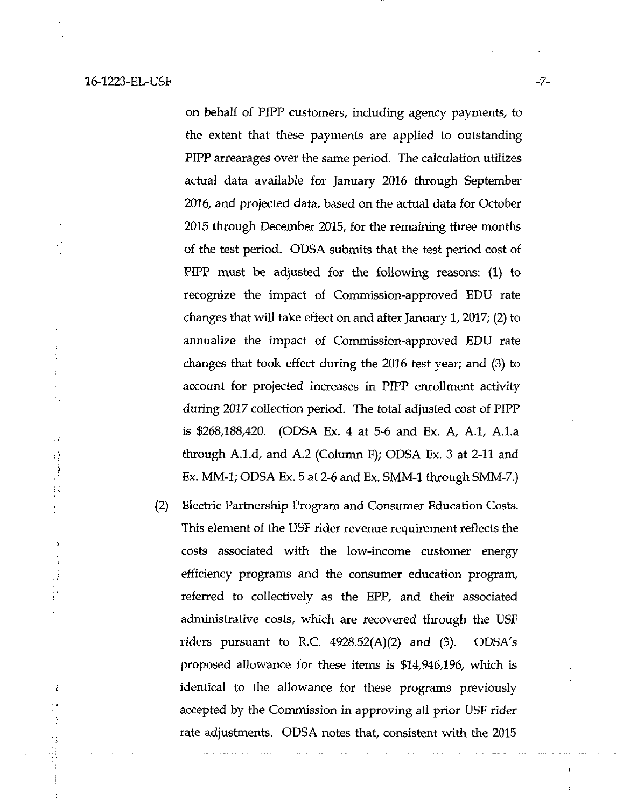ij

on behalf of PIPP customers, including agency payments, to the extent that these payments are applied to outstanding PIPP arrearages over the same period. The calculation utilizes actual data available for January 2016 through September 2016, and projected data, based on the actual data for October 2015 through December 2015, for the remaining three months of the test period. ODSA submits that the test period cost of PIPP must be adjusted for the following reasons: (1) to recognize the impact of Commission-approved EDU rate changes that will take effect on and after January 1,2017; (2) to annualize the impact of Commission-approved EDU rate changes that took effect during the 2016 test year; and (3) to account for projected increases in PIPP enrollment activity during 2017 collection period. The total adjusted cost of PIPP is \$268,188,420. (ODSA Ex. 4 at 5-6 and Ex. A, A.l, A.l.a through A.1.d, and A.2 (Column F); ODSA Ex. 3 at 2-11 and Ex. MM-1; ODSA Ex. 5 at 2-6 and Ex. SMM-1 through SMM-7.)

(2) Electric Partnership Program and Consumer Education Costs. This element of the USF rider revenue requirement reflects the costs associated with the low-income customer energy efficiency programs and the consumer education program, referred to collectively as the EPP, and their associated administrative costs, which are recovered through the USF riders pursuant to R.C.  $4928.52(A)(2)$  and  $(3)$ . ODSA's proposed allowance for these items is \$14,946,196, which is identical to the allowance for these programs previously accepted by the Commission in approving all prior USF rider rate adjustments. ODSA notes that, consistent with the 2015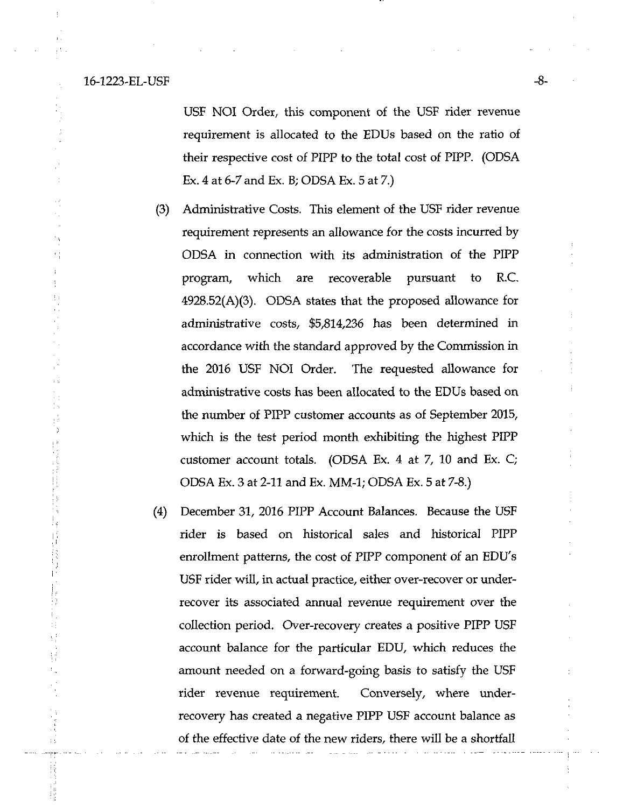#### 16-1223-EL-USF -8-

 $\bar{1}$  ).

USF NOI Order, this component of the USF rider revenue requirement is allocated to the EDUs based on the ratio of their respective cost of PIPP to the total cost of PIPP. (ODSA Ex. 4 at 6-7 and Ex. B; ODSA Ex. 5 at 7.)

- (3) Administrative Costs. This element of the USF rider revenue requirement represents an allowance for the costs incurred by ODSA in connection with its administration of the PIPP program, which are recoverable pursuant to R.C. 492B.52(A)(3). ODSA states that the proposed allowance for administrative costs, \$5,814,236 has been determined in accordance with the standard approved by the Commission in the 2016 USF NOI Order. The requested allowance for administrative costs has been allocated to the EDUs based on the number of PIPP customer accounts as of September 2015, which is the test period month exhibiting the highest PIPP customer account totals. (ODSA Ex. 4 at 7, 10 and Ex. C; ODSA Ex. 3 at 2-11 and Ex. MM-1; ODSA Ex. 5 at 7-8.)
- (4) December 31, 2016 PIPP Account Balances. Because the USF rider is based on historical sales and historical PIPP enrollment patterns, the cost of PIPP component of an EDU's USF rider will, in actual practice, either over-recover or underrecover its associated armual revenue requirement over the collection period. Over-recovery creates a positive PIPP USF account balance for the particular EDU, which reduces the amount needed on a forward-going basis to satisfy the USF rider revenue requirement. Conversely, where underrecovery has created a negative PIPP USF account balance as of the effective date of the new riders, there will be a shortfall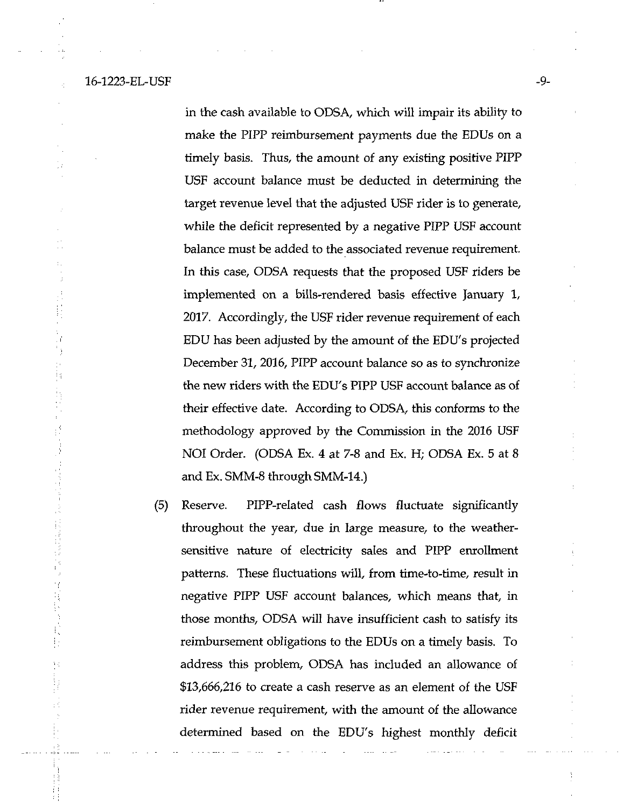16-1223-EL-USF -9-

医皮肤瘤 计算术计算机

in the cash available to ODSA, which will impair its ability to make the PIPP reimbursement payments due the EDUs on a timely basis. Thus, the amount of any existing positive PIPP USF account balance must be deducted in determining the target revenue level that the adjusted USF rider is to generate, while the deficit represented by a negative PIPP USF account balance must be added to the associated revenue requirement. In this case, ODSA requests that the proposed USF riders be implemented on a bills-rendered basis effective January 1, 2017. Accordingly, the USF rider revenue requirement of each EDU has been adjusted by the amount of the EDU's projected December 31, 2016, PIPP account balance so as to synchronize the new riders with the EDU's PIPP USF account balance as of their effective date. According to ODSA, this conforms to the methodology approved by the Commission in the 2016 USF NOI Order. (ODSA Ex. 4 at 7-8 and Ex. H; ODSA Ex. 5 at 8 and Ex. SMM-8 through SMM-14.)

(5) Reserve. PIPP-related cash flows fluctuate significantly throughout the year, due in large measure, to the weathersensitive nature of electricity sales and PIPP enrollment patterns. These fluctuations will, from time-to-time, result in negative PIPP USF account balances, which means that, in those months, ODSA will have insufficient cash to satisfy its reimbursement obligations to the EDUs on a timely basis. To address this problem, ODSA has included an allowance of \$13,666,216 to create a cash reserve as an element of the USF rider revenue requirement, with the amount of the allowance determined based on the EDU's highest monthly deficit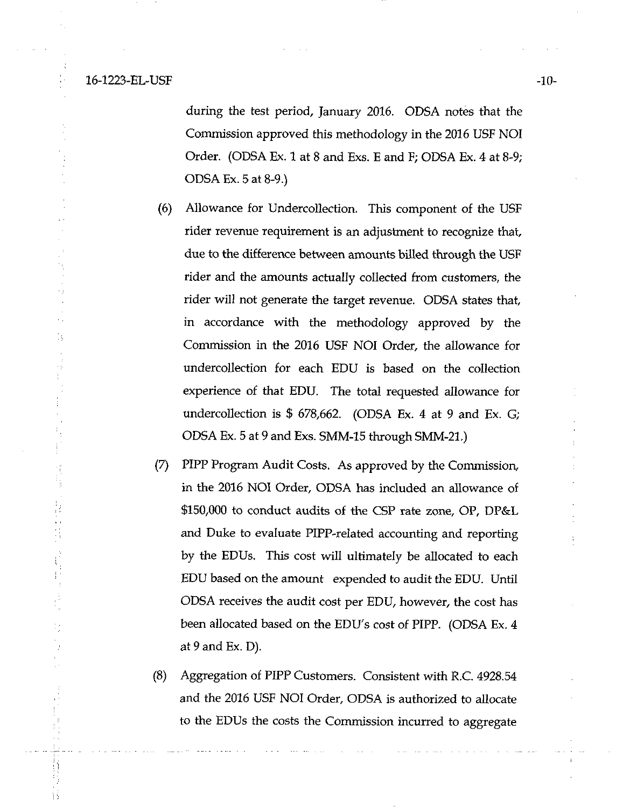#### 16-1223-EL-USF -10-

k)

Ğ,

during the test period, January 2016. ODSA notes that the Commission approved this methodology in the 2016 USF NOI Order. (ODSA Ex. 1 at 8 and Exs. E and F; ODSA Ex. 4 at 8-9; ODSA Ex. 5 at 8-9.)

- (6) Allowance for Undercollection. This component of the USF rider revenue requirement is an adjustment to recognize that, due to the difference between amounts billed through the USF rider and the amounts actually collected from customers, the rider will not generate the target revenue. ODSA states that, in accordance with the methodology approved by the Commission in the 2016 USF NOI Order, the allowance for undercollection for each EDU is based on the collection experience of that EDU. The total requested allowance for undercollection is \$ 678,662. (ODSA Ex. 4 at 9 and Ex. G; ODSA Ex. 5 at 9 and Exs. SMM-15 through SMM-21.)
- (7) PIPP Program Audit Costs. As approved by the Commission, in the 2016 NOI Order, ODSA has included an allowance of \$150,000 to conduct audits of the CSP rate zone, OP, DP&L and Duke to evaluate PIPP-related accounting and reporting by the EDUs. This cost will ultimately be allocated to each EDU based on the amount expended to audit the EDU. Until ODSA receives the audit cost per EDU, however, the cost has been allocated based on the EDU's cost of PIPP. (ODSA Ex. 4 at 9 and Ex. D).
- (8) Aggregation of PIPP Customers. Consistent with R.C. 4928.54 and the 2016 USF NOI Order, ODSA is authorized to allocate to the EDUs the costs the Commission incurred to aggregate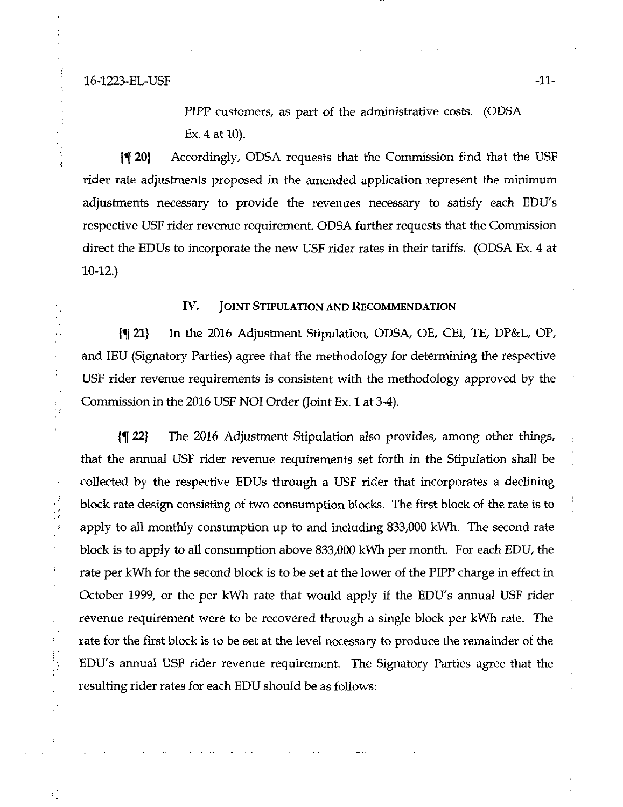Ą

 $\begin{array}{c} 0 \\ 0 \\ 0 \\ 0 \end{array}$ 

f.

PIPP customers, as part of the administrative costs. (ODSA Ex. 4 at 10).

{f 20} Accordingly, ODSA requests that the Commission tind that the USF rider rate adjustments proposed in the amended application represent the minimum adjustments necessary to provide the revenues necessary to satisfy each EDU's respective USF rider revenue requirement. ODSA further requests that the Commission direct the EDUs to incorporate the new USF rider rates in their tariffs. (ODSA Ex. 4 at 10-12.)

## IV. JOINT STIPULATION AND RECOMMENDATION

{f 21} In the 2016 Adjustment Stipulation, ODSA, OE, CEI, TE, DP&L, OP, and lEU (Signatory Parties) agree that the methodology for determining the respective USF rider revenue requirements is consistent with the methodology approved by the Conmussion in the 2016 USF NOI Order (Joint Ex. 1 at 3-4).

{f 22} The 2016 Adjustment Stipulation also provides, among other things, that the annual USF rider revenue requirements set forth in the Stipulation shall be collected by the respective EDUs through a USF rider that incorporates a declining block rate design consisting of two consumption blocks. The first block of the rate is to apply to all monthly consumption up to and including 833,000 kWh. The second rate block is to apply to all consumption above 833,000 kWh per month. For each EDU, the rate per kWh for the second block is to be set at the lower of the PIPP charge in effect in October 1999, or the per kWh rate that would apply if the EDU's annual USF rider revenue requirement were to be recovered through a single block per kWh rate. The rate for the first block is to be set at the level necessary to produce the remainder of the EDU's annual USF rider revenue requirement. The Signatory Parties agree that the resulting rider rates for each EDU should be as follows: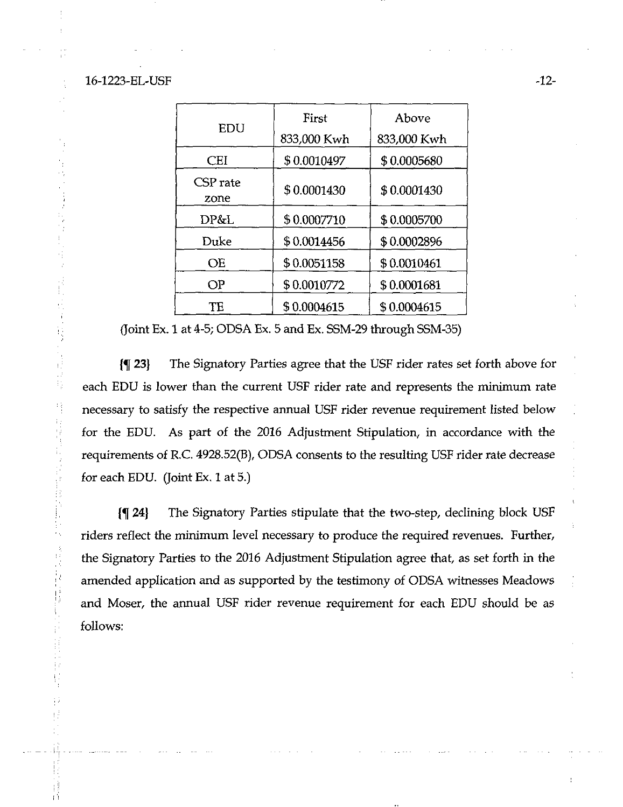# 16-1223-EL-USF -12-

y.

Ę

 $\frac{1}{2}$ 

特别

in<br>S

| EDU              | First       | Above       |  |
|------------------|-------------|-------------|--|
|                  | 833,000 Kwh | 833,000 Kwh |  |
| CEI              | \$0.0010497 | \$0.0005680 |  |
| CSP rate<br>zone | \$0.0001430 | \$0.0001430 |  |
| DP&L             | \$0.0007710 | \$0.0005700 |  |
| Duke             | \$0.0014456 | \$0.0002896 |  |
| <b>OE</b>        | \$0.0051158 | \$0.0010461 |  |
| OP               | \$0.0010772 | \$0.0001681 |  |
| TE               | \$0.0004615 | \$0.0004615 |  |

{Joint Ex. 1 at 4-5; ODSA Ex. 5 and Ex. SSM-29 through SSM-35)

1% 23} The Signatory Parties agree that the USF rider rates set forth above for each EDU is lower than the current USF rider rate and represents the minimum rate necessary to satisfy the respective armual USF rider revenue requirement listed below for the EDU. As part of the 2016 Adjustment Stipulation, in accordance with the requirements of R.C. 4928.52(B), ODSA consents to the resulting USF rider rate decrease for each EDU. (loint Ex, 1 at 5.)

{f 24) The Signatory Parties stipulate that the two-step, declining block USF riders reflect the minimum level necessary to produce the required revenues. Further, the Signatory Parties to the 2016 Adjustment Stipulation agree that, as set forth in the amended application and as supported by the testimony of ODSA witnesses Meadows and Moser, the annual USF rider revenue requirement for each EDU should be as follows: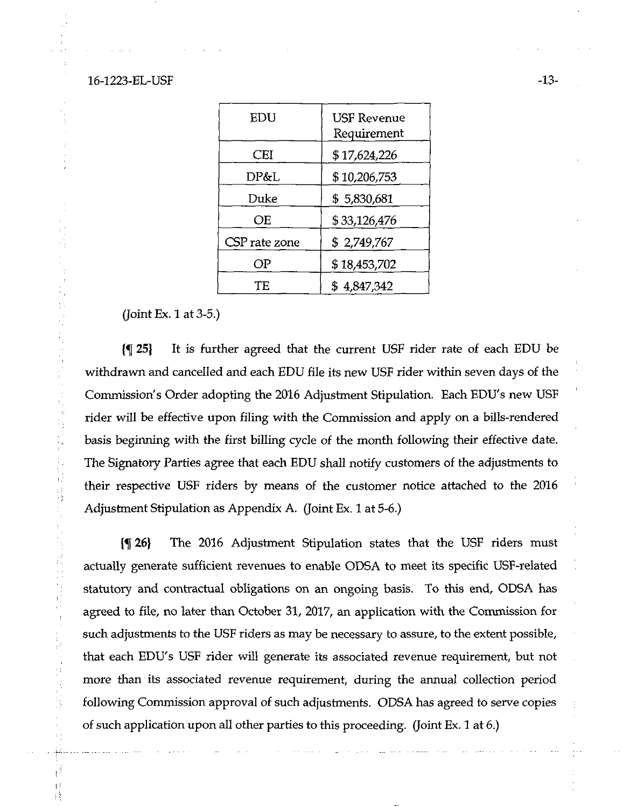16-1223-EL-USF -13-

| EDU           | <b>USF Revenue</b><br>Requirement |  |  |
|---------------|-----------------------------------|--|--|
| CEI           | \$17,624,226                      |  |  |
| DP&L          | \$10,206,753                      |  |  |
| Duke          | \$5,830,681                       |  |  |
| ОE            | \$33,126,476                      |  |  |
| CSP rate zone | \$2,749,767                       |  |  |
| OP            | \$18,453,702                      |  |  |
| TЕ            | \$4,847,342                       |  |  |

(Joint Ex. 1 at 3-5.)

 $\frac{1}{3}$ 

 $\frac{1}{3}$ 

 $\mathcal{L}$ I)  $\frac{1}{2}$  $\begin{bmatrix} 1 \\ 1 \\ 1 \end{bmatrix}$ Ŕ

(^25) It is further agreed that the current USF rider rate of each EDU be withdrawn and cancelled and each EDU file its new USF rider within seven days of the Commission's Order adopting the 2016 Adjustment Stipulation. Each EDU's new USF rider will be effective upon filing with the Commission and apply on a bills-rendered basis beginning with the first billing cycle of the month following their effective date. The Signatory Parties agree that each EDU shall notify customers of the adjustments to their respective USF riders by means of the customer notice attached to the 2016 Adjustment Stipulation as Appendix A. (Joint Ex. 1 at 5-6.)

(f 26) The 2016 Adjustment Stipulation states that the USF riders must actually generate sufficient revenues to enable ODSA to meet its specific USF-related statutory and contractual obligations on an ongoing basis. To this end, ODSA has agreed to file, no later than October 31, 2017, an application with the Commission for such adjustments to the USF riders as may be necessary to assure, to the extent possible, that each EDU's USF rider will generate its associated revenue requirement, but not more than its associated revenue requirement, during the annual collection period following Commission approval of such adjustments. ODSA has agreed to serve copies of such application upon all other parties to this proceeding. (Joint Ex. 1 at 6.)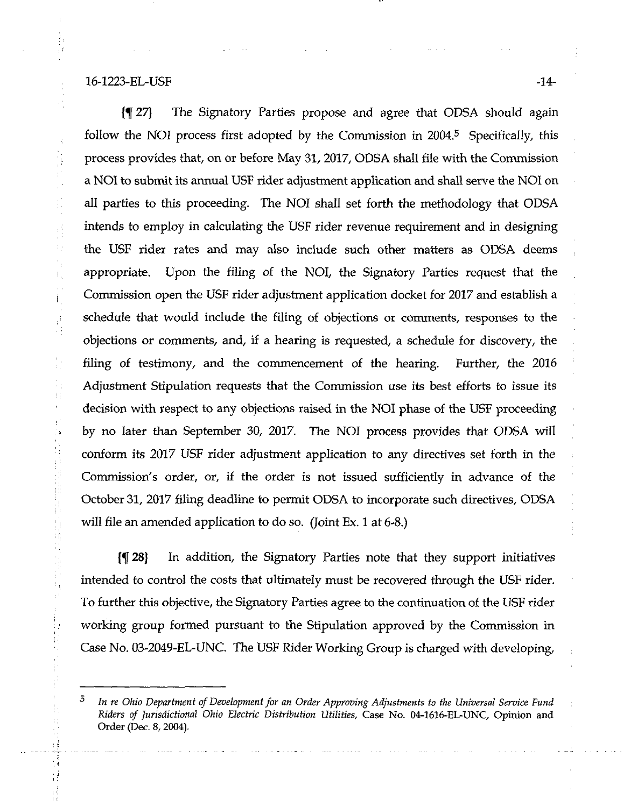16-1223-EL-USF -14-

 $\mathcal{L}_{\alpha}^{\alpha}$ 

 $\frac{1}{3}$  $\frac{1}{2}$ 

 $\begin{bmatrix} 1 \\ 1 \end{bmatrix}$ 

 $\mathbb{F}_2^1$ 

 $\begin{bmatrix} 1 \\ 1 \\ 1 \end{bmatrix}$ 

 $\begin{array}{c} \mathbf{1} \\ \mathbf{1} \\ \mathbf{1} \end{array}$ 

 $\begin{bmatrix} 1 \\ 1 \\ 1 \end{bmatrix}$ 

 $\frac{1}{4}$ 

÷, 41

→ Part Andreas → Part Andreas → Part Andreas → Part Andreas → Part Andreas → Part Andreas → Part Andreas → Par<br>→ Part Andreas → Part Andreas → Part Andreas → Part Andreas → Part Andreas → Part Andreas → Part Andreas →

 $\bar{\psi}^{\pm}$ 

 $\mathbb{C}^*_1$ 

şi

{f 27} The Signatory Parties propose and agree that ODSA should again follow the NOI process first adopted by the Commission in 2004.<sup>5</sup> Specifically, this process provides that, on or before May 31, 2017, ODSA shall file with the Commission a NOI to submit its armual USF rider adjustment application and shall serve the NOI on all parties to this proceeding. The NOI shall set forth the methodology that ODSA intends to employ in calculating the USF rider revenue requirement and in designing the USF rider rates and may also include such other matters as ODSA deems appropriate. Upon the filing of the NOI, the Signatory Parties request that the Commission open the USF rider adjustment application docket for 2017 and establish a schedule that would include the filing of objections or comments, responses to the objections or comments, and, if a hearing is requested, a schedule for discovery, the filing of testimony, and the commencement of the hearing. Further, the 2016 Adjustment Stipulation requests that the Commission use its best efforts to issue its decision with respect to any objections raised in the NOI phase of the USF proceeding by no later than September 30, 2017. The NOI process provides that ODSA will conform its 2017 USF rider adjustment application to any directives set forth in the Commission's order, or, if the order is not issued sufficiently in advance of the October 31, 2017 filing deadline to permit ODSA to incorporate such directives, ODSA will file an amended application to do so. (Joint Ex. 1 at 6-8.)

{^28} In addition, the Signatory Parties note that they support initiatives intended to control the costs that ultimately must be recovered through the USF rider. To further this objective, the Signatory Parties agree to the continuation of the USF rider working group formed pursuant to the Stipulation approved by the Commission in Case No. 03-2049-EL-UNC. The USF Rider Working Group is charged with developing,

 $5$  In re Ohio Department of Development for an Order Approving Adjustments to the Universal Service Fund Riders of Jurisdictional Ohio Electric Distribution Utilities, Case No. 04-1616-EL-UNC, Opinion and Order (Dec. 8, 2004).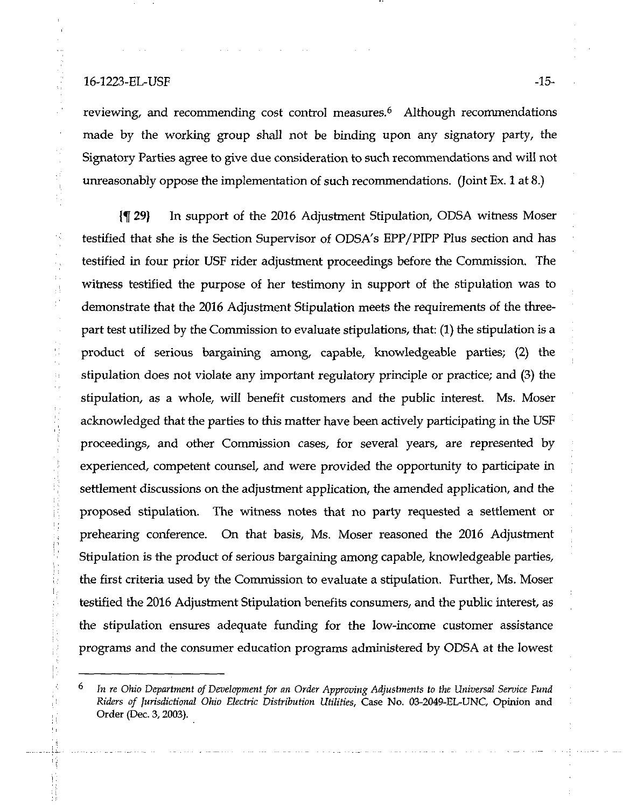# 16-1223-EL-USF -15-

 $\gamma_{\rm s}$ 

 $\mathcal{A}^{\mathcal{A}}_{\mathcal{A}}$ 

 $\frac{1}{2}$  $\bar{1}$  .  $\frac{1}{2}$  $\frac{1}{2}$  .

 $\bar{z}$ i)

 $\begin{bmatrix} 1 & 1 \\ 1 & 1 \\ 1 & 1 \\ 1 & 1 \end{bmatrix}$ 

reviewing, and recommending cost control measures. $6$  Although recommendations made by the working group shall not be binding upon any signatory party, the Signatory Parties agree to give due consideration to such recommendations and will not unreasonably oppose the implementation of such recommendations. (Joint Ex. 1 at 8.)

{f 29} In support of the 2016 Adjustment Stipulation, ODSA witness Moser testified that she is the Section Supervisor of ODSA's EPP/PIPP Pius section and has testified in four prior USF rider adjustment proceedings before the Commission. The witness testified the purpose of her testimony in support of the stipulation was to demonstrate that the 2016 Adjustment Stipulation meets the requirements of the threepart test utilized by the Commission to evaluate stipulations, that: (1) the stipulation is a product of serious bargaining among, capable, knowledgeable parties; (2) the stipulation does not violate any important regulatory principle or practice; and (3) the stipulation, as a whole, will benefit customers and the public interest. Ms. Moser acknowledged that the parties to this matter have been actively participating in the USF proceedings, and other Commission cases, for several years, are represented by experienced, competent counsel, and were provided the opportunity to participate in settlement discussions on the adjustment application, the amended application, and the proposed stipulation. The witness notes that no party requested a settlement or prehearing conference. On that basis, Ms. Moser reasoned the 2016 Adjustment Stipulation is the product of serious bargaining among capable, knowledgeable parties, the first criteria used by the Commission to evaluate a stipulation. Further, Ms. Moser testified the 2016 Adjustment Stipulation benefits consumers, and the public interest, as the stipulation ensures adequate funding for the low-income customer assistance programs and the consumer education programs administered by ODSA at the lowest

 $6$  In re Ohio Department of Development for an Order Approving Adjustments to the Universal Service Fund Riders of Jurisdictional Ohio Electric Distribution Utilities, Case No. 03-2049-EL-UNC, Opinion and Order (Dec. 3,2003).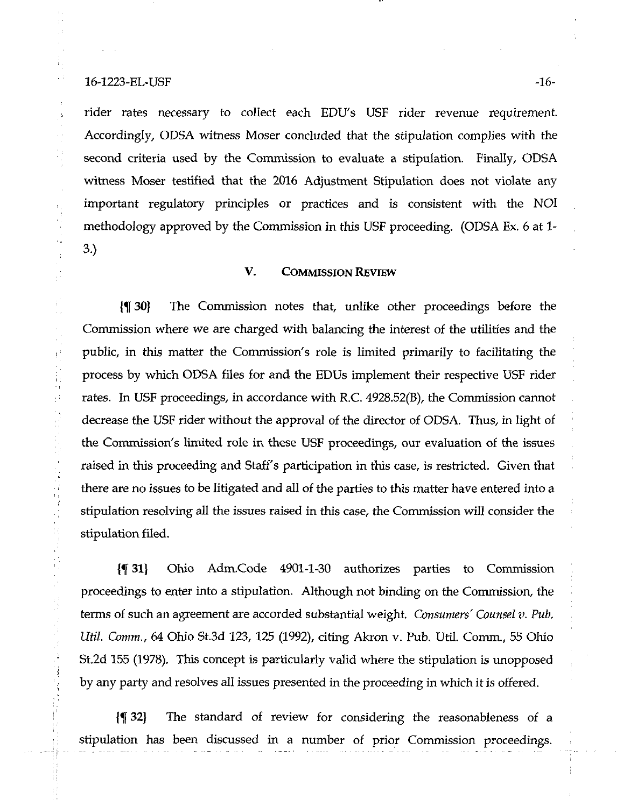### 16-1223-EL-USF -16-

γă

 $\frac{1}{2}$ 

 $\frac{1}{3}$ 

 $\bar{V}$ 

÷,

à,

 $\frac{1}{2}$ 

rider rates necessary to collect each EDU's USF rider revenue requirement. Accordingly, ODSA witness Moser concluded that the stipulation complies with the second criteria used by the Commission to evaluate a stipulation. Finally, ODSA witness Moser testified that the 2016 Adjustment Stipulation does not violate any important regulatory principles or practices and is consistent with the NOI methodology approved by the Commission in this USF proceeding. (ODSA Ex. 6 at 1- 3.)

# V. COMMISSION REVIEW

\% 30} The Commission notes that, unlike other proceedings before the Commission where we are charged with balancing the interest of the utilities and the public, in this matter the Commission's role is limited primarily to facilitating the process by which ODSA files for and the EDUs implement their respective USF rider rates. In USF proceedings, in accordance with R.C. 4928.52(B), the Commission cannot decrease the USF rider without the approval of the director of ODSA. Thus, in light of the Commission's limited role in these USF proceedings, our evaluation of the issues raised in this proceeding and Staff's participation in this case, is restricted. Given that there are no issues to be litigated and all of the parties to this matter have entered into a stipulation resolving all the issues raised in this case, the Commission will consider the stipulation filed.

{% 31) Ohio Adm.Code 4901-1-30 authorizes parties to Commission proceedings to enter into a stipulation. Although not binding on the Commission, the terms of such an agreement are accorded substantial weight. Consumers' Counsel v. Pub. Util Comm., 64 Ohio St.3d 123, 125 (1992), citing Akron v. Pub. Util. Comm., 55 Ohio St.2d 155 (1978). This concept is particularly valid where the stipulation is unopposed by any party and resolves all issues presented in the proceeding in which it is offered.

(^ 32) The standard of review for considering the reasonableness of a stipulation has been discussed in a number of prior Commission proceedings.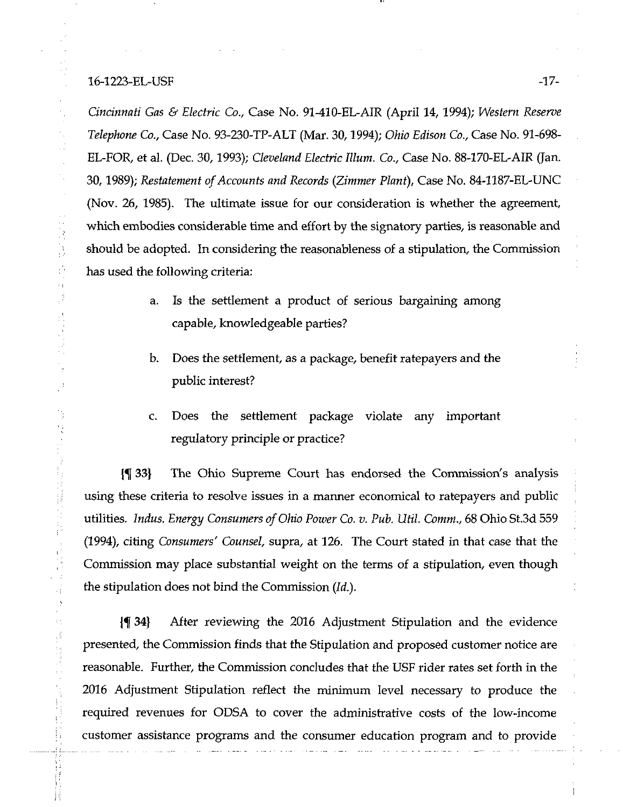## 16-1223-EL-USF -17-

计可用语

 $\begin{array}{c} 1 \\ 1 \\ 1 \end{array}$ 

Cincinnati Gas & Electric Co., Case No. 91-410-EL-AIR (April 14, 1994); Western Reserve Telephone Co., Case No. 93-230-TP-ALT (Mar. 30,1994); Ohio Edison Co., Case No. 91-698- EL-FOR, et al. (Dec. 30,1993); Cleveland Electric Ilium. Co., Case No. 88-170-EL-AIR (Jan. 30,1989); Restatement of Accounts and Records {Zimmer Plant), Case No. 84-1187-EL-UNC (Nov. 26, 1985). The ultimate issue for our consideration is whether the agreement, which embodies considerable time and effort by the signatory parties, is reasonable and should be adopted. In considering the reasonableness of a stipulation, the Commission has used the following criteria:

- a. Is the settlement a product of serious bargaining among capable, knowledgeable parties?
- b. Does the settlement, as a package, benefit ratepayers and the public interest?
- c. Does the settlement package violate any important regulatory principle or practice?

1^ 33) The Ohio Supreme Court has endorsed the Commission's analysis using these criteria to resolve issues in a marmer economical to ratepayers and public utilities. Indus. Energy Consumers of Ohio Power Co. v. Pub. Util. Comm., 68 Ohio St.3d 559 (1994), citing Consumers' Counsel, supra, at 126. The Court stated in that case that the Commission may place substantial weight on the terms of a stipulation, even though the stipulation does not bind the Commission (Id.).

(f 34} After reviewing the 2016 Adjustment Stipulation and the evidence presented, the Commission finds that the Stipulation and proposed customer notice are reasonable. Further, the Commission concludes that the USF rider rates set forth in the 2016 Adjustment Stipulation reflect the minimum level necessary to produce the required revenues for ODSA to cover the administrative costs of the low-income customer assistance programs and the consumer education program and to provide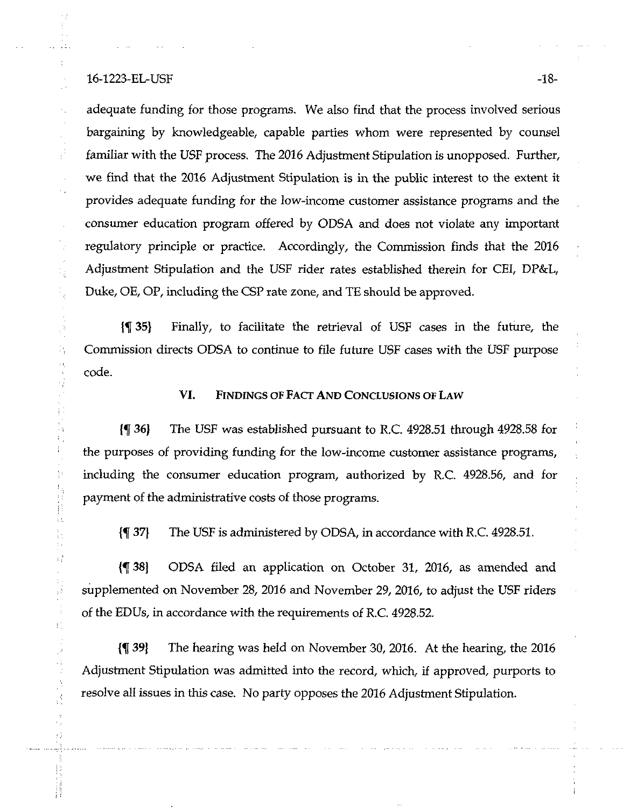### 16-1223-EL-USF -18-

 $\mathcal{L}_1$ 

÷,

 $\frac{1}{2}$ 

 $\frac{1}{2}$ Ĥ,

化学 Ŵ  $\frac{1}{1}$ t)<br>Fa

Þ

i) ίť. ħ

 $\mathbb{F}_p^3$ 

ΥÊ

Ŧ.

 $\mathcal{C}$  $\frac{1}{3}$ 

B

adequate funding for those programs. We also find that the process involved serious bargaining by knowledgeable, capable parties whom were represented by counsel familiar with the USF process. The 2016 Adjustment Stipulation is unopposed. Further, we find that the 2016 Adjustment Stipulation is in the public interest to the extent it provides adequate funding for the low-income customer assistance programs and the consumer education program offered by ODSA and does not violate any important regulatory principle or practice. Accordingly, the Commission finds that the 2016 Adjustment Stipulation and the USF rider rates established therein for CEI, DP&L, Duke, OE, OP, including the CSP rate zone, and TE should be approved.

{% 35} Finally, to facilitate the retrieval of USF cases in the future, the Commission directs ODSA to continue to file future USF cases with the USF purpose code.

VI. FINDINGS OF FACT AND CONCLUSIONS OF LAW

{f 36} The USF was established pursuant to R.C. 4928.51 through 4928.58 for the purposes of providing funding for the low-income customer assistance programs, including the consumer education program, authorized by R.C. 4928.56, and for payment of the administrative costs of those programs.

{f 37} The USF is administered by ODSA, in accordance with R.C. 4928.51.

{f 38} ODSA filed an application on October 31, 2016, as amended and supplemented on November 28, 2016 and November 29, 2016, to adjust the USF riders of the EDUs, in accordance with the requirements of R.C. 4928.52.

{% 39} The hearing was held on November 30, 2016. At the hearing, the 2016 Adjustment Stipulation was admitted into the record, which, if approved, purports to resolve all issues in this case. No party opposes the 2016 Adjustment Stipulation.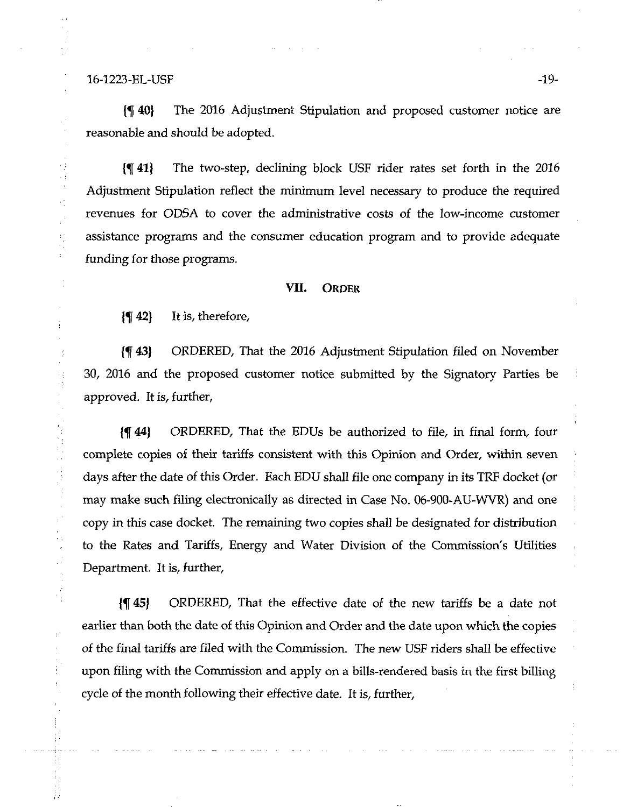16-1223-EL-USF -19-

13  $\cdot$ 

{^ 40} The 2016 Adjustment Stipulation and proposed customer notice are reasonable and should be adopted.

{^41} The two-step, declining block USF rider rates set forth in the 2016 Adjustment Stipulation reflect the minimum level necessary to produce the required revenues for ODSA to cover the administrative costs of the low-income customer assistance programs and the consumer education program and to provide adequate funding for those programs.

# VIL ORDER

{^ 42} It is, therefore,

{If 43} ORDERED, That the 2016 Adjustment Stipulation filed on November 30, 2016 and the proposed customer notice subnutted by the Signatory Parties be approved. It is, further,

{f 44} ORDERED, That the EDUs be authorized to file, in final form, four complete copies of their tariffs consistent with this Opinion and Order, within seven days after the date of this Order. Each EDU shall file one company in its TRF docket (or may make such filing electronically as directed in Case No. 06-900-AU-WVR) and one copy in this case docket. The remaining two copies shall be designated for distribution to the Rates and Tariffs, Energy and Water Division of the Commission's Utilities Department. It is, further,

{f 45) ORDERED, That the effective date of the new tariffs be a date not earlier than both the date of this Opinion and Order and the date upon which the copies of the final tariffs are filed with the Commission. The new USF riders shall be effective upon filing with the Commission and apply on a bills-rendered basis in the first billing cycle of the month following their effective date. It is, further.